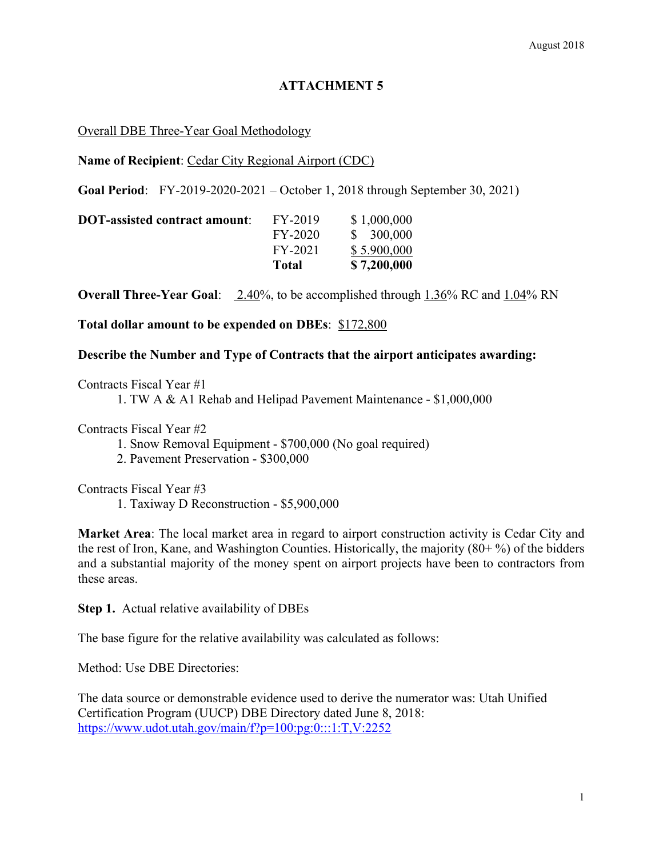# **ATTACHMENT 5**

### Overall DBE Three-Year Goal Methodology

**Name of Recipient**: Cedar City Regional Airport (CDC)

**Goal Period**: FY-2019-2020-2021 – October 1, 2018 through September 30, 2021)

| <b>DOT-assisted contract amount:</b> | FY-2019 | \$1,000,000 |
|--------------------------------------|---------|-------------|
|                                      | FY-2020 | \$300,000   |
|                                      | FY-2021 | \$5.900,000 |
|                                      | Total   | \$7,200,000 |

**Overall Three-Year Goal:** 2.40%, to be accomplished through 1.36% RC and 1.04% RN

**Total dollar amount to be expended on DBEs**: \$172,800

**Describe the Number and Type of Contracts that the airport anticipates awarding:**

Contracts Fiscal Year #1

1. TW A & A1 Rehab and Helipad Pavement Maintenance *-* \$1,000,000

Contracts Fiscal Year #2

1. Snow Removal Equipment - \$700,000 (No goal required)

2. Pavement Preservation - \$300,000

#### Contracts Fiscal Year #3

1. Taxiway D Reconstruction - \$5,900,000

**Market Area**: The local market area in regard to airport construction activity is Cedar City and the rest of Iron, Kane, and Washington Counties. Historically, the majority (80+ %) of the bidders and a substantial majority of the money spent on airport projects have been to contractors from these areas.

**Step 1.** Actual relative availability of DBEs

The base figure for the relative availability was calculated as follows:

Method: Use DBE Directories:

The data source or demonstrable evidence used to derive the numerator was: Utah Unified Certification Program (UUCP) DBE Directory dated June 8, 2018: https://www.udot.utah.gov/main/f?p=100:pg:0:::1:T,V:2252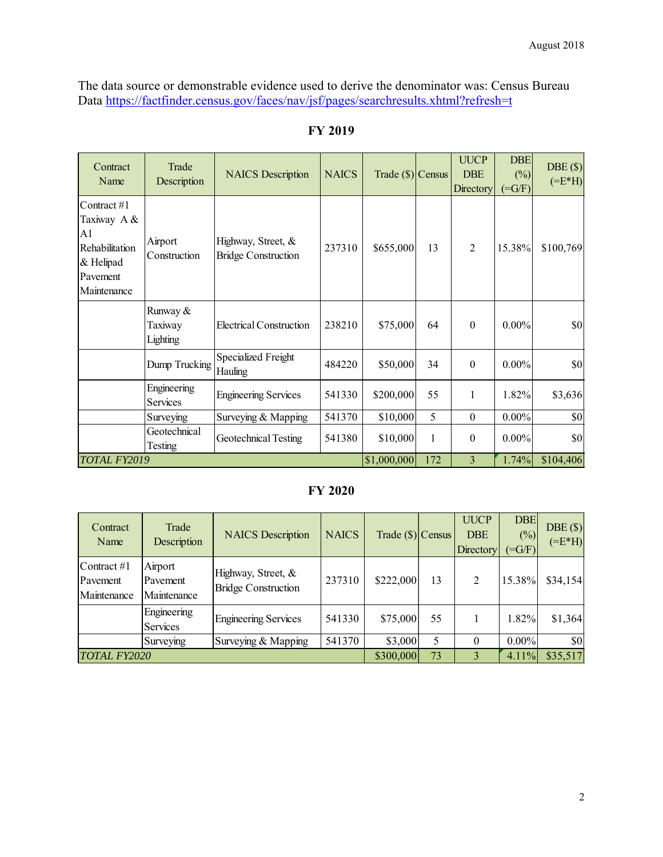The data source or demonstrable evidence used to derive the denominator was: Census Bureau Data https://factfinder.census.gov/faces/nav/jsf/pages/searchresults.xhtml?refresh=t

| Contract<br>Name                                                                           | Trade<br>Description            | <b>NAICS</b> Description                         | <b>NAICS</b> | Trade $(\$\)$ Census |              | <b>UUCP</b><br><b>DBE</b><br>Directory | <b>DBE</b><br>(%)<br>$(=\!\mathrm{G/F})$ | DBE(S)<br>$(=E*H)$ |
|--------------------------------------------------------------------------------------------|---------------------------------|--------------------------------------------------|--------------|----------------------|--------------|----------------------------------------|------------------------------------------|--------------------|
| Contract #1<br>Taxiway A &<br>A1<br>Rehabilitation<br>& Helipad<br>Pavement<br>Maintenance | Airport<br>Construction         | Highway, Street, &<br><b>Bridge Construction</b> | 237310       | \$655,000            | 13           | $\overline{2}$                         | 15.38%                                   | \$100,769          |
|                                                                                            | Runway &<br>Taxiway<br>Lighting | <b>Electrical Construction</b>                   | 238210       | \$75,000             | 64           | $\theta$                               | $0.00\%$                                 | \$0                |
|                                                                                            | Dump Trucking                   | Specialized Freight<br>Hauling                   | 484220       | \$50,000             | 34           | $\theta$                               | $0.00\%$                                 | \$0                |
|                                                                                            | Engineering<br>Services         | <b>Engineering Services</b>                      | 541330       | \$200,000            | 55           | 1                                      | 1.82%                                    | \$3,636            |
|                                                                                            | Surveying                       | Surveying & Mapping                              | 541370       | \$10,000             | 5            | $\theta$                               | $0.00\%$                                 | \$0                |
|                                                                                            | Geotechnical<br>Testing         | Geotechnical Testing                             | 541380       | \$10,000             | $\mathbf{1}$ | $\boldsymbol{0}$                       | $0.00\%$                                 | \$0                |
| TOTAL FY2019                                                                               |                                 |                                                  | \$1,000,000  | 172                  | 3            | 1.74%                                  | \$104,406                                |                    |

# **FY 2019**

# **FY 2020**

| Contract<br>Name                         | Trade<br>Description               | <b>NAICS</b> Description                         | <b>NAICS</b> | Trade $(\$\)$ Census |          | <b>UUCP</b><br><b>DBE</b><br>Directory | <b>DBE</b><br>$(\%)$<br>$=$ G/F) | DBE(S)<br>$(=E*H)$ |
|------------------------------------------|------------------------------------|--------------------------------------------------|--------------|----------------------|----------|----------------------------------------|----------------------------------|--------------------|
| Contract $#1$<br>Pavement<br>Maintenance | Airport<br>Pavement<br>Maintenance | Highway, Street, &<br><b>Bridge Construction</b> | 237310       | \$222,000            | 13       | 2                                      | 15.38%                           | \$34,154           |
|                                          | Engineering<br>Services            | <b>Engineering Services</b>                      | 541330       | \$75,000             | 55       |                                        | 1.82%                            | \$1,364            |
|                                          | Surveying                          | Surveying & Mapping                              | 541370       | \$3,000              | 5        | 0                                      | $0.00\%$                         | \$0                |
| TOTAL FY2020                             | \$300,000                          | 73                                               | 3            | 4.11%                | \$35,517 |                                        |                                  |                    |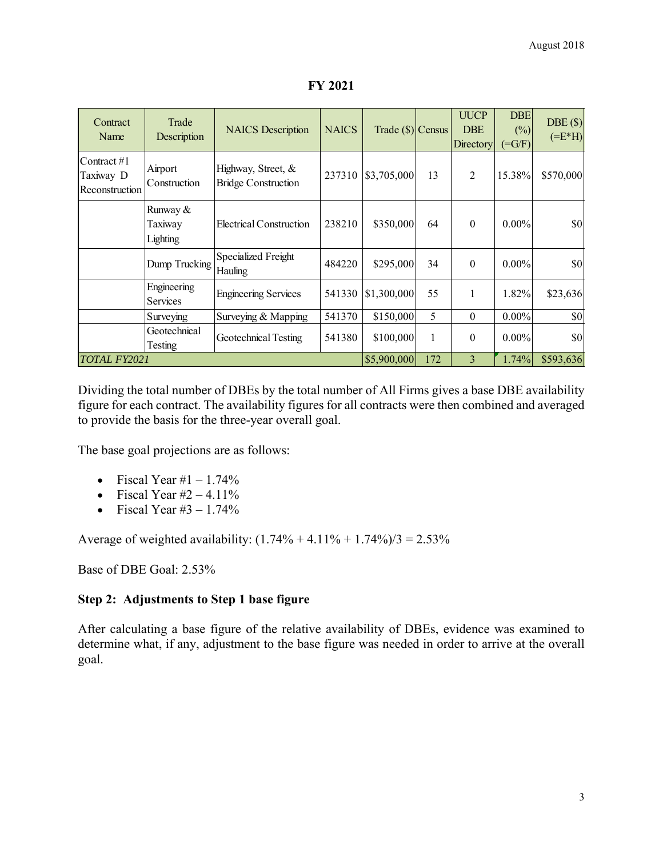| Contract<br>Name                             | Trade<br>Description            | <b>NAICS</b> Description                         | <b>NAICS</b> | Trade $(\$\)$ Census |           | <b>UUCP</b><br><b>DBE</b><br>Directory | <b>DBE</b><br>(%)<br>$=\text{G/F}$ | DBE(S)<br>$(=E*H)$ |
|----------------------------------------------|---------------------------------|--------------------------------------------------|--------------|----------------------|-----------|----------------------------------------|------------------------------------|--------------------|
| Contract $#1$<br>Taxiway D<br>Reconstruction | Airport<br>Construction         | Highway, Street, &<br><b>Bridge Construction</b> | 237310       | \$3,705,000          | 13        | $\overline{2}$                         | 15.38%                             | \$570,000          |
|                                              | Runway &<br>Taxiway<br>Lighting | Electrical Construction                          | 238210       | \$350,000            | 64        | $\theta$                               | $0.00\%$                           | 30                 |
|                                              | Dump Trucking                   | Specialized Freight<br>Hauling                   | 484220       | \$295,000            | 34        | $\theta$                               | $0.00\%$                           | 30                 |
|                                              | Engineering<br><b>Services</b>  | <b>Engineering Services</b>                      | 541330       | \$1,300,000          | 55        | 1                                      | 1.82%                              | \$23,636           |
|                                              | Surveying                       | Surveying & Mapping                              | 541370       | \$150,000            | 5         | $\theta$                               | $0.00\%$                           | \$0                |
|                                              | Geotechnical<br>Testing         | Geotechnical Testing                             | 541380       | \$100,000            | 1         | $\theta$                               | $0.00\%$                           | \$0                |
| TOTAL FY2021                                 | \$5,900,000                     | 172                                              | 3            | 1.74%                | \$593,636 |                                        |                                    |                    |

Dividing the total number of DBEs by the total number of All Firms gives a base DBE availability figure for each contract. The availability figures for all contracts were then combined and averaged to provide the basis for the three-year overall goal.

The base goal projections are as follows:

- Fiscal Year  $#1 1.74\%$
- Fiscal Year  $#2 4.11\%$
- Fiscal Year  $#3 1.74\%$

Average of weighted availability:  $(1.74\% + 4.11\% + 1.74\%)/3 = 2.53\%$ 

Base of DBE Goal: 2.53%

#### **Step 2: Adjustments to Step 1 base figure**

After calculating a base figure of the relative availability of DBEs, evidence was examined to determine what, if any, adjustment to the base figure was needed in order to arrive at the overall goal.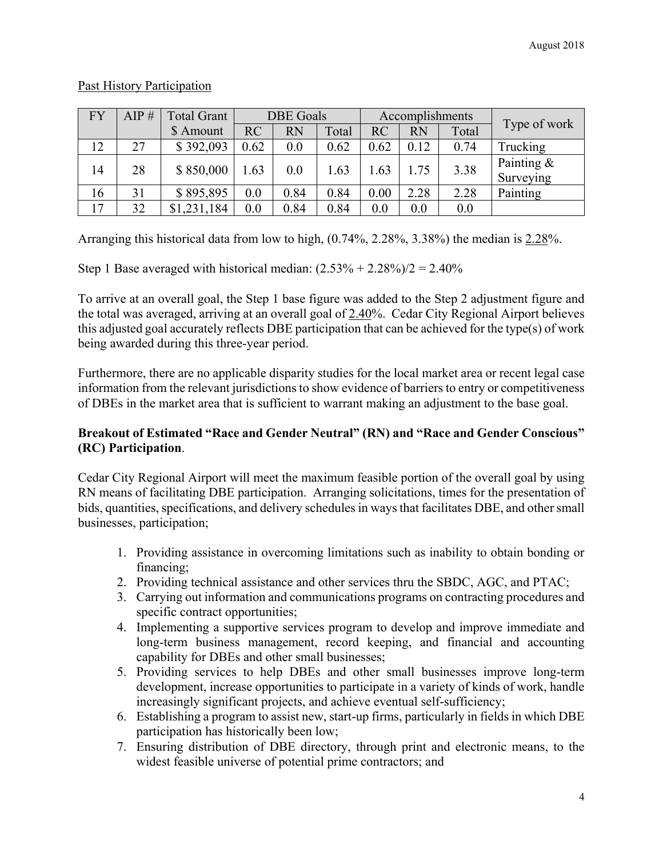| FY | AIP# | <b>Total Grant</b> | <b>DBE</b> Goals |           |       |      | Accomplishments |       |                         |
|----|------|--------------------|------------------|-----------|-------|------|-----------------|-------|-------------------------|
|    |      | \$ Amount          | RC               | <b>RN</b> | Total | RC   | <b>RN</b>       | Total | Type of work            |
| 12 | 27   | \$392,093          | 0.62             | 0.0       | 0.62  | 0.62 | 0.12            | 0.74  | Trucking                |
| 14 | 28   | \$850,000          | 1.63             | 0.0       | 1.63  | 1.63 | 1.75            | 3.38  | Painting &<br>Surveying |
| 16 | 31   | \$895,895          | 0.0              | 0.84      | 0.84  | 0.00 | 2.28            | 2.28  | Painting                |
| 17 | 32   | \$1,231,184        | 0.0              | 0.84      | 0.84  | 0.0  | 0.0             | 0.0   |                         |

#### Past History Participation

Arranging this historical data from low to high, (0.74%, 2.28%, 3.38%) the median is 2.28%.

Step 1 Base averaged with historical median:  $(2.53\% + 2.28\%)/2 = 2.40\%$ 

To arrive at an overall goal, the Step 1 base figure was added to the Step 2 adjustment figure and the total was averaged, arriving at an overall goal of 2.40%. Cedar City Regional Airport believes this adjusted goal accurately reflects DBE participation that can be achieved for the type(s) of work being awarded during this three-year period.

Furthermore, there are no applicable disparity studies for the local market area or recent legal case information from the relevant jurisdictions to show evidence of barriers to entry or competitiveness of DBEs in the market area that is sufficient to warrant making an adjustment to the base goal.

## **Breakout of Estimated "Race and Gender Neutral" (RN) and "Race and Gender Conscious" (RC) Participation**.

Cedar City Regional Airport will meet the maximum feasible portion of the overall goal by using RN means of facilitating DBE participation. Arranging solicitations, times for the presentation of bids, quantities, specifications, and delivery schedules in ways that facilitates DBE, and other small businesses, participation;

- 1. Providing assistance in overcoming limitations such as inability to obtain bonding or financing;
- 2. Providing technical assistance and other services thru the SBDC, AGC, and PTAC;
- 3. Carrying out information and communications programs on contracting procedures and specific contract opportunities;
- 4. Implementing a supportive services program to develop and improve immediate and long-term business management, record keeping, and financial and accounting capability for DBEs and other small businesses;
- 5. Providing services to help DBEs and other small businesses improve long-term development, increase opportunities to participate in a variety of kinds of work, handle increasingly significant projects, and achieve eventual self-sufficiency;
- 6. Establishing a program to assist new, start-up firms, particularly in fields in which DBE participation has historically been low;
- 7. Ensuring distribution of DBE directory, through print and electronic means, to the widest feasible universe of potential prime contractors; and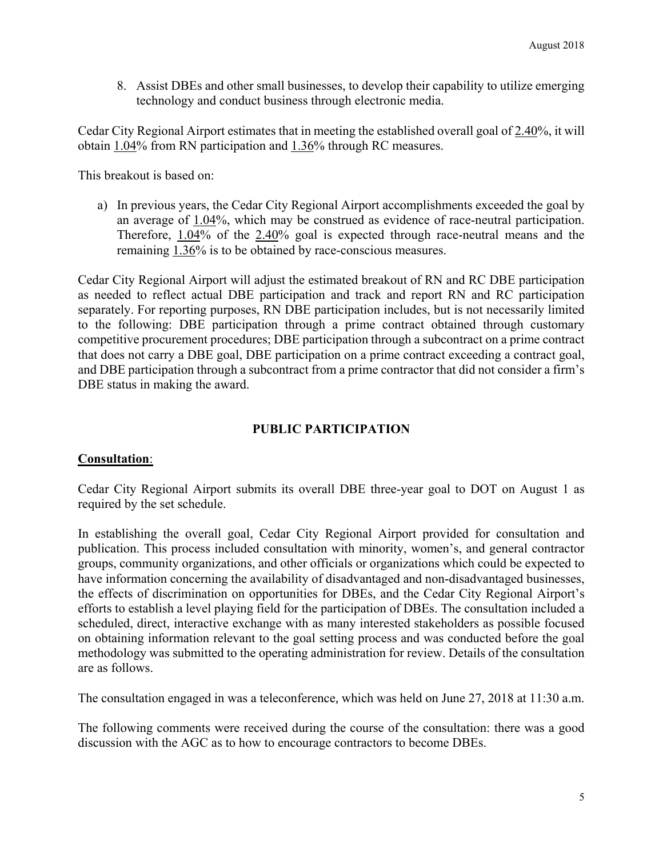8. Assist DBEs and other small businesses, to develop their capability to utilize emerging technology and conduct business through electronic media.

Cedar City Regional Airport estimates that in meeting the established overall goal of 2.40%, it will obtain 1.04% from RN participation and 1.36% through RC measures.

This breakout is based on:

a) In previous years, the Cedar City Regional Airport accomplishments exceeded the goal by an average of 1.04%, which may be construed as evidence of race-neutral participation. Therefore, 1.04% of the 2.40% goal is expected through race-neutral means and the remaining 1.36% is to be obtained by race-conscious measures.

Cedar City Regional Airport will adjust the estimated breakout of RN and RC DBE participation as needed to reflect actual DBE participation and track and report RN and RC participation separately. For reporting purposes, RN DBE participation includes, but is not necessarily limited to the following: DBE participation through a prime contract obtained through customary competitive procurement procedures; DBE participation through a subcontract on a prime contract that does not carry a DBE goal, DBE participation on a prime contract exceeding a contract goal, and DBE participation through a subcontract from a prime contractor that did not consider a firm's DBE status in making the award.

# **PUBLIC PARTICIPATION**

## **Consultation**:

Cedar City Regional Airport submits its overall DBE three-year goal to DOT on August 1 as required by the set schedule.

In establishing the overall goal, Cedar City Regional Airport provided for consultation and publication. This process included consultation with minority, women's, and general contractor groups, community organizations, and other officials or organizations which could be expected to have information concerning the availability of disadvantaged and non-disadvantaged businesses, the effects of discrimination on opportunities for DBEs, and the Cedar City Regional Airport's efforts to establish a level playing field for the participation of DBEs. The consultation included a scheduled, direct, interactive exchange with as many interested stakeholders as possible focused on obtaining information relevant to the goal setting process and was conducted before the goal methodology was submitted to the operating administration for review. Details of the consultation are as follows.

The consultation engaged in was a teleconference*,* which was held on June 27, 2018 at 11:30 a.m.

The following comments were received during the course of the consultation: there was a good discussion with the AGC as to how to encourage contractors to become DBEs.